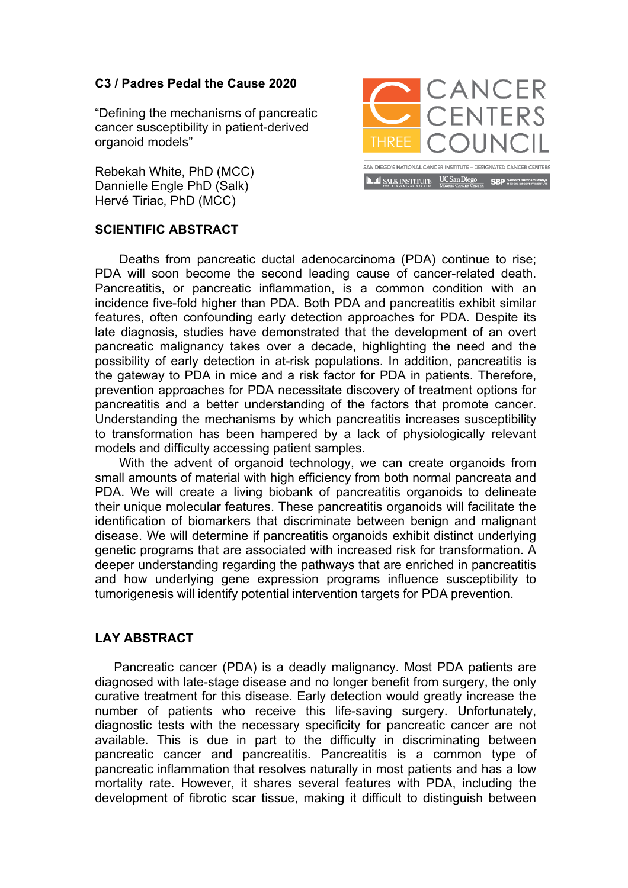## **C3 / Padres Pedal the Cause 2020**

"Defining the mechanisms of pancreatic cancer susceptibility in patient-derived organoid models"

Rebekah White, PhD (MCC) Dannielle Engle PhD (Salk) Hervé Tiriac, PhD (MCC)



## **SCIENTIFIC ABSTRACT**

Deaths from pancreatic ductal adenocarcinoma (PDA) continue to rise; PDA will soon become the second leading cause of cancer-related death. Pancreatitis, or pancreatic inflammation, is a common condition with an incidence five-fold higher than PDA. Both PDA and pancreatitis exhibit similar features, often confounding early detection approaches for PDA. Despite its late diagnosis, studies have demonstrated that the development of an overt pancreatic malignancy takes over a decade, highlighting the need and the possibility of early detection in at-risk populations. In addition, pancreatitis is the gateway to PDA in mice and a risk factor for PDA in patients. Therefore, prevention approaches for PDA necessitate discovery of treatment options for pancreatitis and a better understanding of the factors that promote cancer. Understanding the mechanisms by which pancreatitis increases susceptibility to transformation has been hampered by a lack of physiologically relevant models and difficulty accessing patient samples.

With the advent of organoid technology, we can create organoids from small amounts of material with high efficiency from both normal pancreata and PDA. We will create a living biobank of pancreatitis organoids to delineate their unique molecular features. These pancreatitis organoids will facilitate the identification of biomarkers that discriminate between benign and malignant disease. We will determine if pancreatitis organoids exhibit distinct underlying genetic programs that are associated with increased risk for transformation. A deeper understanding regarding the pathways that are enriched in pancreatitis and how underlying gene expression programs influence susceptibility to tumorigenesis will identify potential intervention targets for PDA prevention.

## **LAY ABSTRACT**

Pancreatic cancer (PDA) is a deadly malignancy. Most PDA patients are diagnosed with late-stage disease and no longer benefit from surgery, the only curative treatment for this disease. Early detection would greatly increase the number of patients who receive this life-saving surgery. Unfortunately, diagnostic tests with the necessary specificity for pancreatic cancer are not available. This is due in part to the difficulty in discriminating between pancreatic cancer and pancreatitis. Pancreatitis is a common type of pancreatic inflammation that resolves naturally in most patients and has a low mortality rate. However, it shares several features with PDA, including the development of fibrotic scar tissue, making it difficult to distinguish between